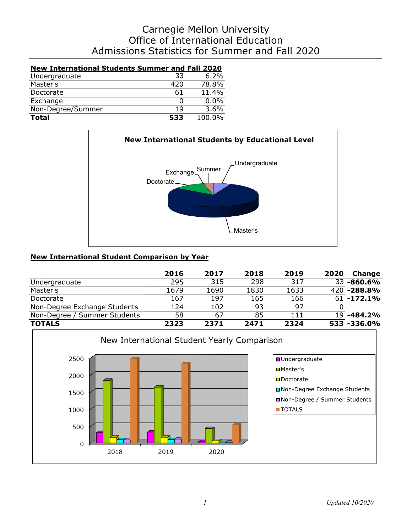# Admissions Statistics for Summer and Fall 2020 Office of International Education Carnegie Mellon University

| <b>New International Students Summer and Fall 2020</b> |     |          |
|--------------------------------------------------------|-----|----------|
| Undergraduate                                          | 33  | 6.2%     |
| Master's                                               | 420 | $78.8\%$ |
| Doctorate                                              | 61  | 11.4%    |
| Exchange                                               | Ω   | $0.0\%$  |
| Non-Degree/Summer                                      | 19  | $3.6\%$  |
| <b>Total</b>                                           | 533 | 100.0%   |



## **New International Student Comparison by Year**

|                              | 2016 | 2017 | 2018 | 2019 | 2020 | Change            |
|------------------------------|------|------|------|------|------|-------------------|
| Undergraduate                | 295  | 315  | 298  | 317  |      | 33 -860.6%        |
| Master's                     | 1679 | 1690 | 1830 | 1633 |      | 420 -288.8%       |
| Doctorate                    | 167  | 197  | 165  | 166  |      | $61 - 172.1%$     |
| Non-Degree Exchange Students | 124  | 102  | 93   | 97   |      |                   |
| Non-Degree / Summer Students | 58   | 67   | 85   | 111  |      | 19 <b>-484.2%</b> |
| <b>TOTALS</b>                | 2323 | 2371 | 2471 | 2324 |      | 533 -336.0%       |

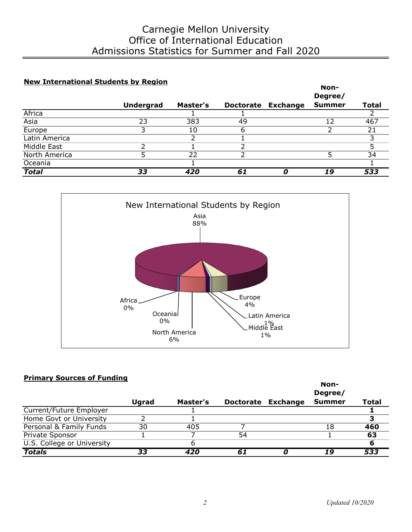## **New International Students by Region**

|               |                  |                 |                  |                 | Non-          |              |
|---------------|------------------|-----------------|------------------|-----------------|---------------|--------------|
|               |                  |                 |                  |                 | Degree/       |              |
|               | <b>Undergrad</b> | <b>Master's</b> | <b>Doctorate</b> | <b>Exchange</b> | <b>Summer</b> | <b>Total</b> |
| Africa        |                  |                 |                  |                 |               |              |
| Asia          | 23               | 383             | 49               |                 | 12            | 467          |
| Europe        | っ                | 10              | O                |                 |               | 21           |
| Latin America |                  |                 |                  |                 |               |              |
| Middle East   |                  |                 |                  |                 |               |              |
| North America |                  | 22              |                  |                 |               | 34           |
| Oceania       |                  |                 |                  |                 |               |              |
| <b>Total</b>  | 33               | 420             | 61               |                 | 19            | 533          |



### **Primary Sources of Funding**

|                            |       |          |    |                    | Non-<br>Degree/ |       |
|----------------------------|-------|----------|----|--------------------|-----------------|-------|
|                            | Ugrad | Master's |    | Doctorate Exchange | <b>Summer</b>   | Total |
| Current/Future Employer    |       |          |    |                    |                 |       |
| Home Govt or University    |       |          |    |                    |                 |       |
| Personal & Family Funds    | 30    | 405      |    |                    | 18              | 460   |
| Private Sponsor            |       |          | 54 |                    |                 | 63    |
| U.S. College or University |       |          |    |                    |                 |       |
| <b>Totals</b>              | 33    | 420      | 61 |                    | 19              | 533   |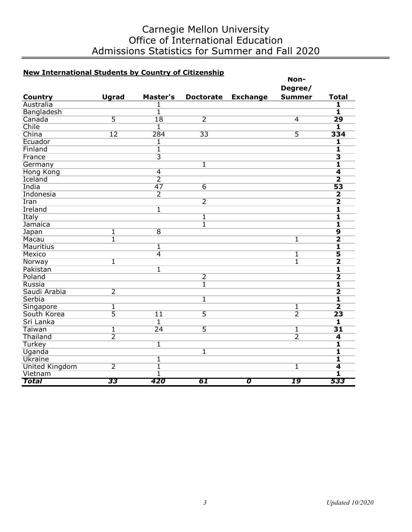# Carnegie Mellon University Office of International Education Admissions Statistics for Summer and Fall 2020

# **New International Students by Country of Citizenship**

| <u>New International Students by Country of Citizensinp</u> |                         |                         |                         |                 | Non-           |                         |
|-------------------------------------------------------------|-------------------------|-------------------------|-------------------------|-----------------|----------------|-------------------------|
|                                                             |                         |                         |                         |                 | Degree/        |                         |
| <b>Country</b>                                              | <b>Ugrad</b>            | Master's                | <b>Doctorate</b>        | <b>Exchange</b> | <b>Summer</b>  | <b>Total</b>            |
| Australia                                                   |                         | 1                       |                         |                 |                | 1                       |
| Bangladesh                                                  |                         | $\overline{1}$          |                         |                 |                | $\overline{\mathbf{1}}$ |
| Canada                                                      | $\overline{5}$          | 18                      | $\overline{2}$          |                 | $\overline{4}$ | 29                      |
| Chile                                                       |                         | $\overline{1}$          |                         |                 |                | $\overline{\mathbf{1}}$ |
| China                                                       | $\overline{12}$         | 284                     | $\overline{33}$         |                 | 5              | 334                     |
| Ecuador                                                     |                         | 1                       |                         |                 |                | $\overline{\mathbf{1}}$ |
| Finland                                                     |                         | $\overline{1}$          |                         |                 |                | $\overline{\mathbf{1}}$ |
| France                                                      |                         | $\overline{\mathbf{3}}$ |                         |                 |                | $\overline{\mathbf{3}}$ |
| Germany                                                     |                         |                         | $\overline{\mathbf{1}}$ |                 |                | $\overline{\mathbf{1}}$ |
| <b>Hong Kong</b>                                            |                         | $\overline{4}$          |                         |                 |                | $\overline{\bf 4}$      |
| Iceland                                                     |                         | $\overline{2}$          |                         |                 |                | $\overline{\mathbf{2}}$ |
| India                                                       |                         | 47                      | $\overline{6}$          |                 |                | 53                      |
| Indonesia                                                   |                         | $\overline{2}$          |                         |                 |                | $\overline{\mathbf{2}}$ |
| Iran                                                        |                         |                         | $\overline{2}$          |                 |                | $\overline{\mathbf{2}}$ |
| Ireland                                                     |                         | $\overline{\mathbf{1}}$ |                         |                 |                | $\overline{\mathbf{1}}$ |
| Italy                                                       |                         |                         | $\overline{\mathbf{1}}$ |                 |                | 1                       |
| Jamaica                                                     |                         |                         | $\overline{1}$          |                 |                | 1                       |
| Japan                                                       | $\overline{1}$          | $\overline{8}$          |                         |                 |                | $\overline{9}$          |
| Macau                                                       | $\overline{\mathbb{1}}$ |                         |                         |                 | $\overline{1}$ | $\overline{\mathbf{2}}$ |
| <b>Mauritius</b>                                            |                         | $\overline{1}$          |                         |                 |                | $\overline{\mathbf{1}}$ |
| <b>Mexico</b>                                               |                         | $\overline{4}$          |                         |                 | 1              | 5                       |
| Norway                                                      | $\overline{\mathbb{1}}$ |                         |                         |                 | 1              | $\overline{\mathbf{2}}$ |
| Pakistan                                                    |                         | $\overline{1}$          |                         |                 |                | $\overline{\mathbf{1}}$ |
| Poland                                                      |                         |                         | $\overline{2}$          |                 |                | $\overline{\mathbf{2}}$ |
| Russia                                                      |                         |                         | $\overline{1}$          |                 |                | $\overline{\mathbf{1}}$ |
| Saudi Arabia                                                | $\overline{2}$          |                         |                         |                 |                | $\overline{\mathbf{2}}$ |
| Serbia                                                      |                         |                         | $\overline{1}$          |                 |                | 1                       |
| Singapore                                                   | 1                       |                         |                         |                 | 1              | $\overline{\mathbf{2}}$ |
| South Korea                                                 | $\overline{5}$          | $\overline{11}$         | $\overline{5}$          |                 | $\overline{2}$ | 23                      |
| Sri Lanka                                                   |                         | $\overline{\mathbf{1}}$ |                         |                 |                | $\overline{\mathbf{1}}$ |
| Taiwan                                                      | $\overline{1}$          | $\overline{24}$         | $\overline{5}$          |                 | 1              | $\overline{31}$         |
| Thailand                                                    | $\overline{2}$          |                         |                         |                 | $\overline{2}$ | 4                       |
| Turkey                                                      |                         | $\overline{1}$          |                         |                 |                | $\overline{\mathbf{1}}$ |
| Uganda                                                      |                         |                         | $\mathbf{1}$            |                 |                | $\overline{\mathbf{1}}$ |
| <b>Ukraine</b>                                              |                         | $\overline{1}$          |                         |                 |                | $\overline{\mathbf{1}}$ |
| <b>United Kingdom</b>                                       | $\overline{2}$          | $\overline{1}$          |                         |                 | $\overline{1}$ | $\overline{\bf 4}$      |
| Vietnam                                                     |                         | 1                       |                         |                 |                | 1                       |
| Total                                                       | 33                      | 420                     | 61                      | σ               | 19             | 533                     |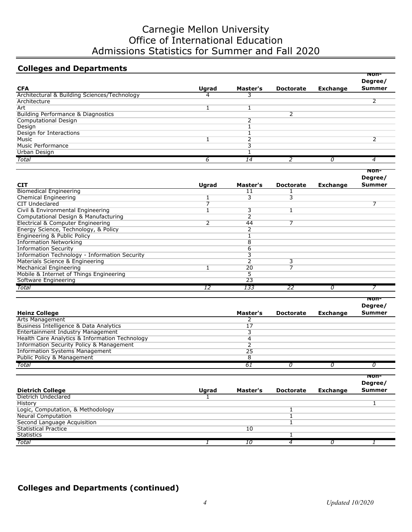# Carnegie Mellon University Office of International Education Admissions Statistics for Summer and Fall 2020

# **Colleges and Departments**

|                                              |              |          |                  |                 | Non-<br>Degree/ |
|----------------------------------------------|--------------|----------|------------------|-----------------|-----------------|
| <b>CFA</b>                                   | <b>Ugrad</b> | Master's | <b>Doctorate</b> | <b>Exchange</b> | <b>Summer</b>   |
| Architectural & Building Sciences/Technology | 4            |          |                  |                 |                 |
| Architecture                                 |              |          |                  |                 |                 |
| Art                                          |              |          |                  |                 |                 |
| Building Performance & Diagnostics           |              |          | ר                |                 |                 |
| Computational Design                         |              |          |                  |                 |                 |
| Design                                       |              |          |                  |                 |                 |
| Design for Interactions                      |              |          |                  |                 |                 |
| Music                                        |              |          |                  |                 |                 |
| Music Performance                            |              |          |                  |                 |                 |
| Urban Design                                 |              |          |                  |                 |                 |
| Total                                        |              | 14       |                  |                 |                 |

|                                               |       |          |                  |                 | Degree/ |
|-----------------------------------------------|-------|----------|------------------|-----------------|---------|
| <b>CIT</b>                                    | Ugrad | Master's | <b>Doctorate</b> | <b>Exchange</b> | Summer  |
| <b>Biomedical Engineering</b>                 |       | 11       |                  |                 |         |
| Chemical Engineering                          |       | 3        |                  |                 |         |
| <b>CIT Undeclared</b>                         |       |          |                  |                 |         |
| Civil & Environmental Engineering             |       | ٦        |                  |                 |         |
| Computational Design & Manufacturing          |       |          |                  |                 |         |
| Electrical & Computer Engineering             |       | 44       |                  |                 |         |
| Energy Science, Technology, & Policy          |       | h        |                  |                 |         |
| Engineering & Public Policy                   |       |          |                  |                 |         |
| <b>Information Networking</b>                 |       | 8        |                  |                 |         |
| <b>Information Security</b>                   |       | h        |                  |                 |         |
| Information Technology - Information Security |       |          |                  |                 |         |
| Materials Science & Engineering               |       |          |                  |                 |         |
| <b>Mechanical Engineering</b>                 |       | 20       |                  |                 |         |
| Mobile & Internet of Things Engineering       |       | 5        |                  |                 |         |
| Software Engineering                          |       | 23       |                  |                 |         |
| Total                                         | 12    | 133      | 22               | O               |         |

|                                                |          |                  |                 | Non-<br>Degree/ |
|------------------------------------------------|----------|------------------|-----------------|-----------------|
| <b>Heinz College</b>                           | Master's | <b>Doctorate</b> | <b>Exchange</b> | <b>Summer</b>   |
| <b>Arts Management</b>                         |          |                  |                 |                 |
| Business Intelligence & Data Analytics         | 17       |                  |                 |                 |
| <b>Entertainment Industry Management</b>       |          |                  |                 |                 |
| Health Care Analytics & Information Technology |          |                  |                 |                 |
| Information Security Policy & Management       |          |                  |                 |                 |
| <b>Information Systems Management</b>          | 25       |                  |                 |                 |
| Public Policy & Management                     |          |                  |                 |                 |
| Total                                          | 61       |                  |                 |                 |

|                                   |              |          |                  |                 | Non-          |
|-----------------------------------|--------------|----------|------------------|-----------------|---------------|
|                                   |              |          |                  |                 | Degree/       |
| <b>Dietrich College</b>           | <b>Uarad</b> | Master's | <b>Doctorate</b> | <b>Exchange</b> | <b>Summer</b> |
| Dietrich Undeclared               |              |          |                  |                 |               |
| History                           |              |          |                  |                 |               |
| Logic, Computation, & Methodology |              |          |                  |                 |               |
| <b>Neural Computation</b>         |              |          |                  |                 |               |
| Second Language Acquisition       |              |          |                  |                 |               |
| <b>Statistical Practice</b>       |              | 10       |                  |                 |               |
| <b>Statistics</b>                 |              |          |                  |                 |               |
| Total                             |              | 10       |                  |                 |               |

## **Colleges and Departments (continued)**

**Non-**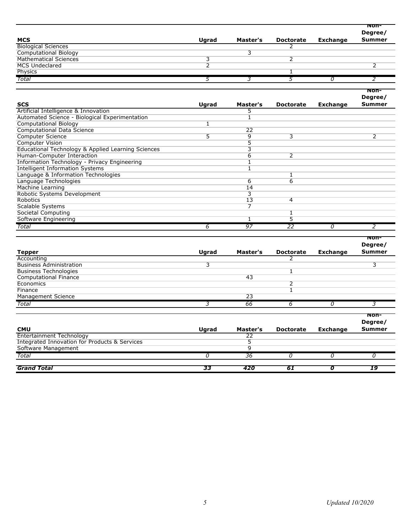|                              |              |          |           |                 | Non-          |
|------------------------------|--------------|----------|-----------|-----------------|---------------|
|                              |              |          |           |                 | Degree/       |
| <b>MCS</b>                   | <b>Ugrad</b> | Master's | Doctorate | <b>Exchange</b> | <b>Summer</b> |
| <b>Biological Sciences</b>   |              |          |           |                 |               |
| <b>Computational Biology</b> |              |          |           |                 |               |
| <b>Mathematical Sciences</b> |              |          |           |                 |               |
| <b>MCS Undeclared</b>        |              |          |           |                 |               |
| Physics                      |              |          |           |                 |               |
| Total                        |              |          |           |                 |               |
|                              |              |          |           |                 |               |
|                              |              |          |           |                 | non-          |

| <b>SCS</b>                                         | Ugrad | Master's | <b>Doctorate</b> | <b>Exchange</b> | Degree/<br><b>Summer</b> |
|----------------------------------------------------|-------|----------|------------------|-----------------|--------------------------|
| Artificial Intelligence & Innovation               |       |          |                  |                 |                          |
| Automated Science - Biological Experimentation     |       |          |                  |                 |                          |
| <b>Computational Biology</b>                       |       |          |                  |                 |                          |
| <b>Computational Data Science</b>                  |       | 22       |                  |                 |                          |
| <b>Computer Science</b>                            | 5.    | 9        | 3                |                 |                          |
| <b>Computer Vision</b>                             |       |          |                  |                 |                          |
| Educational Technology & Applied Learning Sciences |       | ۰,       |                  |                 |                          |
| Human-Computer Interaction                         |       | 6        | 2                |                 |                          |
| Information Technology - Privacy Engineering       |       |          |                  |                 |                          |
| <b>Intelligent Information Systems</b>             |       |          |                  |                 |                          |
| Language & Information Technologies                |       |          |                  |                 |                          |
| Language Technologies                              |       | 6        | 6                |                 |                          |
| Machine Learning                                   |       | 14       |                  |                 |                          |
| Robotic Systems Development                        |       | 3        |                  |                 |                          |
| Robotics                                           |       | 13       | 4                |                 |                          |
| Scalable Systems                                   |       | 7        |                  |                 |                          |
| Societal Computing                                 |       |          |                  |                 |                          |
| Software Engineering                               |       |          |                  |                 |                          |
| Total                                              | 6     | 97       | 22               | Ω               |                          |

|                                                          |              |          |                  |                 | Non-<br>Degree/<br><b>Summer</b> |
|----------------------------------------------------------|--------------|----------|------------------|-----------------|----------------------------------|
| <b>Tepper</b>                                            | Ugrad        | Master's | <b>Doctorate</b> | <b>Exchange</b> |                                  |
| Accounting                                               |              |          |                  |                 |                                  |
| <b>Business Administration</b>                           | 3            |          |                  |                 | 3                                |
| <b>Business Technologies</b>                             |              |          |                  |                 |                                  |
| <b>Computational Finance</b>                             |              | 43       |                  |                 |                                  |
| Economics                                                |              |          | $\overline{2}$   |                 |                                  |
| Finance                                                  |              |          |                  |                 |                                  |
| Management Science                                       |              | 23       |                  |                 |                                  |
| Total                                                    | 3            | 66       | 6                | 0               | 3                                |
|                                                          |              |          |                  |                 | Non-                             |
|                                                          |              |          |                  |                 | Degree/                          |
| <b>CMU</b>                                               | <b>Ugrad</b> | Master's | <b>Doctorate</b> | <b>Exchange</b> | <b>Summer</b>                    |
| Entertainment Technology                                 |              | 22       |                  |                 |                                  |
| <b>Integrated Innovation for Products &amp; Services</b> |              | 5        |                  |                 |                                  |
| Software Management                                      |              | 9        |                  |                 |                                  |
| Total                                                    | n            | 36       | 0                | 0               | n                                |
| <b>Grand Total</b>                                       | 33           | 420      | 61               | 0               | 19                               |
|                                                          |              |          |                  |                 |                                  |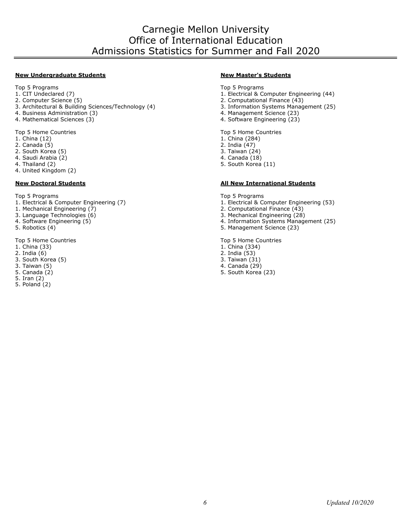#### **New Undergraduate Students New Master's Students**

Top 5 Programs Top 5 Programs Top 5 Programs Top 5 Programs Top 5 Programs Top 5 Programs Top 5 Programs Top 5 Programs Top 5 Programs Top 5 Programs Top 5 Programs Top 5 Programs Top 5 Programs Top 5 Programs Top 5 Progra

- 
- 
- 3. Architectural & Building Sciences/Technology (4)
- 4. Business Administration (3) 4. Management Science (23)
- 

Top 5 Home Countries **Top 5 Home Countries**<br>
1. China (12) 1. China (284)

- 
- 
- 2. Canada (5) 2. India (47) 2. South Korea (5) 3. Taiwan (24) 3. Taiwan (24) 3. Taiwan (24) 3. Taiwan (24) 3. Taiwan (24) 3. Taiwan (29)
- 4. Saudi Arabia (2)
- 
- 4. United Kingdom (2)

- Top 5 Programs Top 5 Programs
- 1. Mechanical Engineering (7) 2. Computational Finance (43)
- 3. Language Technologies (6) <br>4. Software Engineering (5) 3. Mechanical Engineering (28) 3. Mechanical Engineering (28)
- 
- 

Top 5 Home Countries **Top 5 Home Countries**<br>
1. China (33) 1. China (334)

- 
- 
- 2. India (6) 2. India (53) 3. South Korea (5)<br>3. Taiwan (5)
- 
- 
- 5. Iran (2)
- 5. Poland (2)

- 
- 1. CIT Undeclared (7) <br>
2. Computer Science (5) <br>
2. Computer Science (5) <br>
2. Computational Finance (43)
	-
	- 2. Computational Finance  $(43)$ <br>3. Information Systems Management (25)
	-
	- 4. Software Engineering (23)

- 1. China (284)
- 
- 
- 
- 4. Thailand (2) 5. South Korea (11)

#### **New Doctoral Students All New International Students**

- 1. Electrical & Computer Engineering (7) 1. Electrical & Computer Engineering (53)
- 
- 
- 4. Software Engineering (5) 4. Information Systems Management (25)
	- 5. Management Science (23)

- 1. China (334)
- 
- 
- 
- 3. Taiwan (5) 4. Canada (29) 5. South Korea (23)